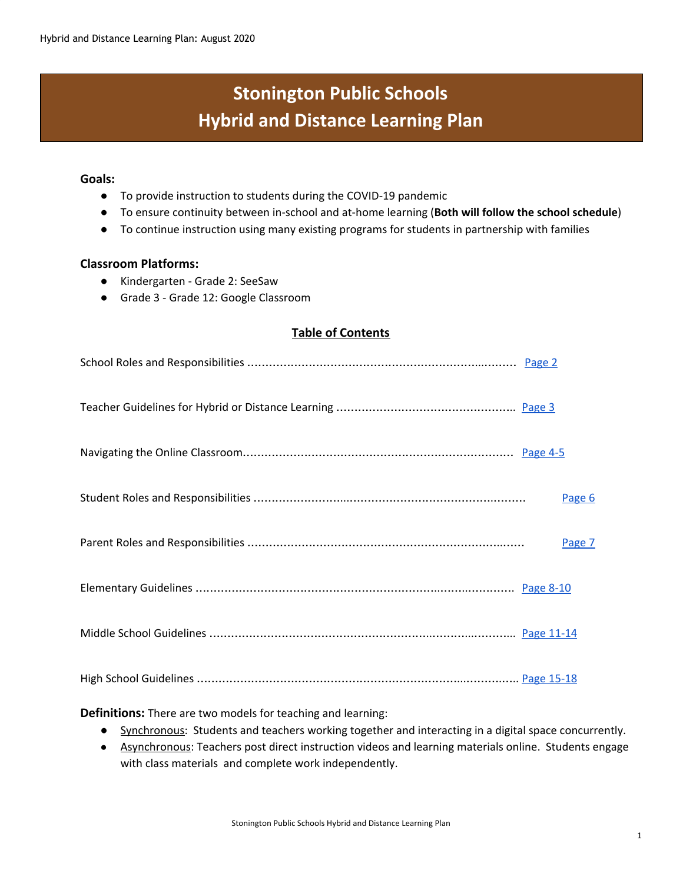# **Stonington Public Schools Hybrid and Distance Learning Plan**

#### **Goals:**

- To provide instruction to students during the COVID-19 pandemic
- To ensure continuity between in-school and at-home learning (**Both will follow the school schedule**)
- To continue instruction using many existing programs for students in partnership with families

#### **Classroom Platforms:**

- Kindergarten Grade 2: SeeSaw
- Grade 3 Grade 12: Google Classroom

#### **Table of Contents**

|  | Page 6 |
|--|--------|
|  | Page 7 |
|  |        |
|  |        |
|  |        |

**Definitions:** There are two models for teaching and learning:

- Synchronous: Students and teachers working together and interacting in a digital space concurrently.
- Asynchronous: Teachers post direct instruction videos and learning materials online. Students engage with class materials and complete work independently.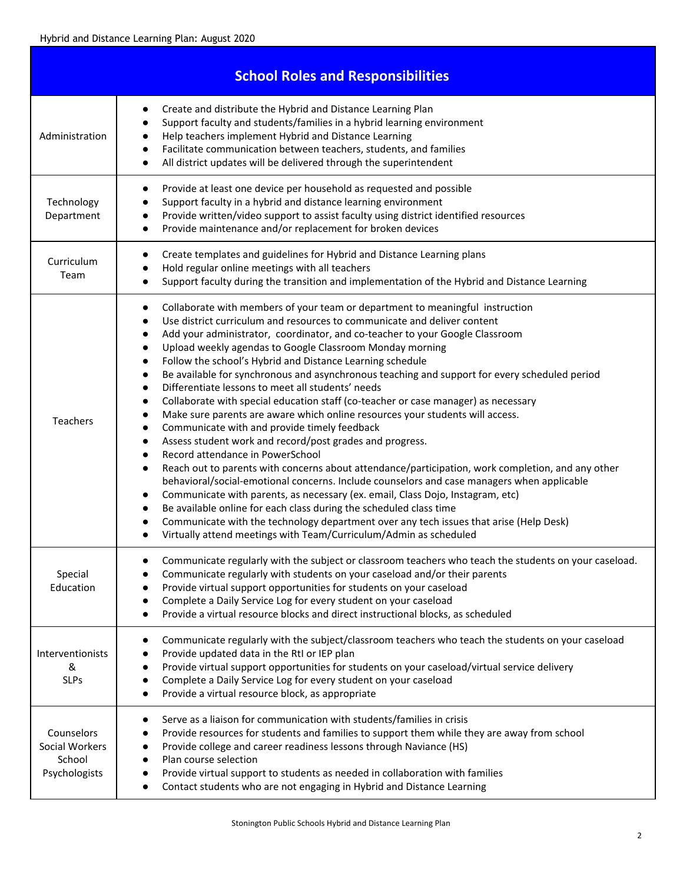<span id="page-1-0"></span>

|                                                         | <b>School Roles and Responsibilities</b>                                                                                                                                                                                                                                                                                                                                                                                                                                                                                                                                                                                                                                                                                                                                                                                                                                                                                                                                                                                                                                                                                                                                                                                                                                                                                                                                                                                                                             |
|---------------------------------------------------------|----------------------------------------------------------------------------------------------------------------------------------------------------------------------------------------------------------------------------------------------------------------------------------------------------------------------------------------------------------------------------------------------------------------------------------------------------------------------------------------------------------------------------------------------------------------------------------------------------------------------------------------------------------------------------------------------------------------------------------------------------------------------------------------------------------------------------------------------------------------------------------------------------------------------------------------------------------------------------------------------------------------------------------------------------------------------------------------------------------------------------------------------------------------------------------------------------------------------------------------------------------------------------------------------------------------------------------------------------------------------------------------------------------------------------------------------------------------------|
| Administration                                          | Create and distribute the Hybrid and Distance Learning Plan<br>Support faculty and students/families in a hybrid learning environment<br>Help teachers implement Hybrid and Distance Learning<br>Facilitate communication between teachers, students, and families<br>$\bullet$<br>All district updates will be delivered through the superintendent                                                                                                                                                                                                                                                                                                                                                                                                                                                                                                                                                                                                                                                                                                                                                                                                                                                                                                                                                                                                                                                                                                                 |
| Technology<br>Department                                | Provide at least one device per household as requested and possible<br>$\bullet$<br>Support faculty in a hybrid and distance learning environment<br>Provide written/video support to assist faculty using district identified resources<br>Provide maintenance and/or replacement for broken devices<br>$\bullet$                                                                                                                                                                                                                                                                                                                                                                                                                                                                                                                                                                                                                                                                                                                                                                                                                                                                                                                                                                                                                                                                                                                                                   |
| Curriculum<br>Team                                      | Create templates and guidelines for Hybrid and Distance Learning plans<br>$\bullet$<br>Hold regular online meetings with all teachers<br>Support faculty during the transition and implementation of the Hybrid and Distance Learning                                                                                                                                                                                                                                                                                                                                                                                                                                                                                                                                                                                                                                                                                                                                                                                                                                                                                                                                                                                                                                                                                                                                                                                                                                |
| <b>Teachers</b>                                         | Collaborate with members of your team or department to meaningful instruction<br>Use district curriculum and resources to communicate and deliver content<br>$\bullet$<br>Add your administrator, coordinator, and co-teacher to your Google Classroom<br>$\bullet$<br>Upload weekly agendas to Google Classroom Monday morning<br>$\bullet$<br>Follow the school's Hybrid and Distance Learning schedule<br>Be available for synchronous and asynchronous teaching and support for every scheduled period<br>Differentiate lessons to meet all students' needs<br>$\bullet$<br>Collaborate with special education staff (co-teacher or case manager) as necessary<br>$\bullet$<br>Make sure parents are aware which online resources your students will access.<br>Communicate with and provide timely feedback<br>Assess student work and record/post grades and progress.<br>$\bullet$<br>Record attendance in PowerSchool<br>Reach out to parents with concerns about attendance/participation, work completion, and any other<br>$\bullet$<br>behavioral/social-emotional concerns. Include counselors and case managers when applicable<br>Communicate with parents, as necessary (ex. email, Class Dojo, Instagram, etc)<br>Be available online for each class during the scheduled class time<br>Communicate with the technology department over any tech issues that arise (Help Desk)<br>Virtually attend meetings with Team/Curriculum/Admin as scheduled |
| Special<br>Education                                    | Communicate regularly with the subject or classroom teachers who teach the students on your caseload.<br>Communicate regularly with students on your caseload and/or their parents<br>Provide virtual support opportunities for students on your caseload<br>Complete a Daily Service Log for every student on your caseload<br>Provide a virtual resource blocks and direct instructional blocks, as scheduled                                                                                                                                                                                                                                                                                                                                                                                                                                                                                                                                                                                                                                                                                                                                                                                                                                                                                                                                                                                                                                                      |
| Interventionists<br>&<br><b>SLPs</b>                    | Communicate regularly with the subject/classroom teachers who teach the students on your caseload<br>Provide updated data in the RtI or IEP plan<br>Provide virtual support opportunities for students on your caseload/virtual service delivery<br>Complete a Daily Service Log for every student on your caseload<br>Provide a virtual resource block, as appropriate                                                                                                                                                                                                                                                                                                                                                                                                                                                                                                                                                                                                                                                                                                                                                                                                                                                                                                                                                                                                                                                                                              |
| Counselors<br>Social Workers<br>School<br>Psychologists | Serve as a liaison for communication with students/families in crisis<br>Provide resources for students and families to support them while they are away from school<br>Provide college and career readiness lessons through Naviance (HS)<br>Plan course selection<br>$\bullet$<br>Provide virtual support to students as needed in collaboration with families<br>Contact students who are not engaging in Hybrid and Distance Learning                                                                                                                                                                                                                                                                                                                                                                                                                                                                                                                                                                                                                                                                                                                                                                                                                                                                                                                                                                                                                            |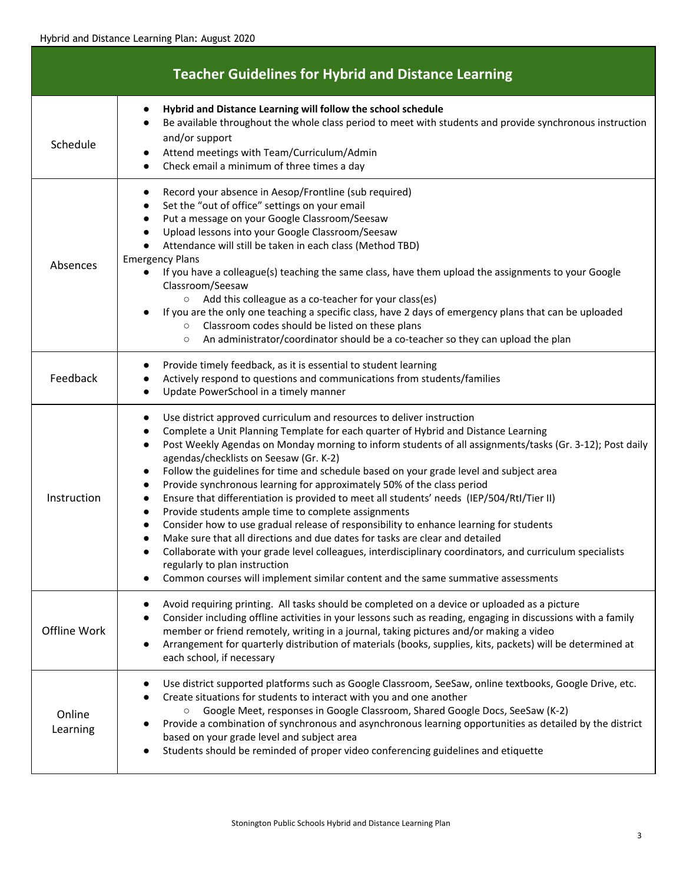<span id="page-2-0"></span>

|                    | <b>Teacher Guidelines for Hybrid and Distance Learning</b>                                                                                                                                                                                                                                                                                                                                                                                                                                                                                                                                                                                                                                                                                                                                                                                                                                                                                                                                                                                                                                                                                                        |
|--------------------|-------------------------------------------------------------------------------------------------------------------------------------------------------------------------------------------------------------------------------------------------------------------------------------------------------------------------------------------------------------------------------------------------------------------------------------------------------------------------------------------------------------------------------------------------------------------------------------------------------------------------------------------------------------------------------------------------------------------------------------------------------------------------------------------------------------------------------------------------------------------------------------------------------------------------------------------------------------------------------------------------------------------------------------------------------------------------------------------------------------------------------------------------------------------|
| Schedule           | Hybrid and Distance Learning will follow the school schedule<br>$\bullet$<br>Be available throughout the whole class period to meet with students and provide synchronous instruction<br>$\bullet$<br>and/or support<br>Attend meetings with Team/Curriculum/Admin<br>Check email a minimum of three times a day                                                                                                                                                                                                                                                                                                                                                                                                                                                                                                                                                                                                                                                                                                                                                                                                                                                  |
| Absences           | Record your absence in Aesop/Frontline (sub required)<br>$\bullet$<br>Set the "out of office" settings on your email<br>٠<br>Put a message on your Google Classroom/Seesaw<br>٠<br>Upload lessons into your Google Classroom/Seesaw<br>٠<br>Attendance will still be taken in each class (Method TBD)<br><b>Emergency Plans</b><br>If you have a colleague(s) teaching the same class, have them upload the assignments to your Google<br>$\bullet$<br>Classroom/Seesaw<br>Add this colleague as a co-teacher for your class(es)<br>$\circ$<br>If you are the only one teaching a specific class, have 2 days of emergency plans that can be uploaded<br>Classroom codes should be listed on these plans<br>$\circ$<br>An administrator/coordinator should be a co-teacher so they can upload the plan<br>$\circ$                                                                                                                                                                                                                                                                                                                                                 |
| Feedback           | Provide timely feedback, as it is essential to student learning<br>$\bullet$<br>Actively respond to questions and communications from students/families<br>$\bullet$<br>Update PowerSchool in a timely manner<br>$\bullet$                                                                                                                                                                                                                                                                                                                                                                                                                                                                                                                                                                                                                                                                                                                                                                                                                                                                                                                                        |
| Instruction        | Use district approved curriculum and resources to deliver instruction<br>$\bullet$<br>Complete a Unit Planning Template for each quarter of Hybrid and Distance Learning<br>$\bullet$<br>Post Weekly Agendas on Monday morning to inform students of all assignments/tasks (Gr. 3-12); Post daily<br>$\bullet$<br>agendas/checklists on Seesaw (Gr. K-2)<br>Follow the guidelines for time and schedule based on your grade level and subject area<br>٠<br>Provide synchronous learning for approximately 50% of the class period<br>$\bullet$<br>Ensure that differentiation is provided to meet all students' needs (IEP/504/RtI/Tier II)<br>$\bullet$<br>Provide students ample time to complete assignments<br>$\bullet$<br>Consider how to use gradual release of responsibility to enhance learning for students<br>$\bullet$<br>Make sure that all directions and due dates for tasks are clear and detailed<br>Collaborate with your grade level colleagues, interdisciplinary coordinators, and curriculum specialists<br>$\bullet$<br>regularly to plan instruction<br>Common courses will implement similar content and the same summative assessments |
| Offline Work       | Avoid requiring printing. All tasks should be completed on a device or uploaded as a picture<br>$\bullet$<br>Consider including offline activities in your lessons such as reading, engaging in discussions with a family<br>$\bullet$<br>member or friend remotely, writing in a journal, taking pictures and/or making a video<br>Arrangement for quarterly distribution of materials (books, supplies, kits, packets) will be determined at<br>$\bullet$<br>each school, if necessary                                                                                                                                                                                                                                                                                                                                                                                                                                                                                                                                                                                                                                                                          |
| Online<br>Learning | Use district supported platforms such as Google Classroom, SeeSaw, online textbooks, Google Drive, etc.<br>Create situations for students to interact with you and one another<br>Google Meet, responses in Google Classroom, Shared Google Docs, SeeSaw (K-2)<br>$\circ$<br>Provide a combination of synchronous and asynchronous learning opportunities as detailed by the district<br>based on your grade level and subject area<br>Students should be reminded of proper video conferencing guidelines and etiquette                                                                                                                                                                                                                                                                                                                                                                                                                                                                                                                                                                                                                                          |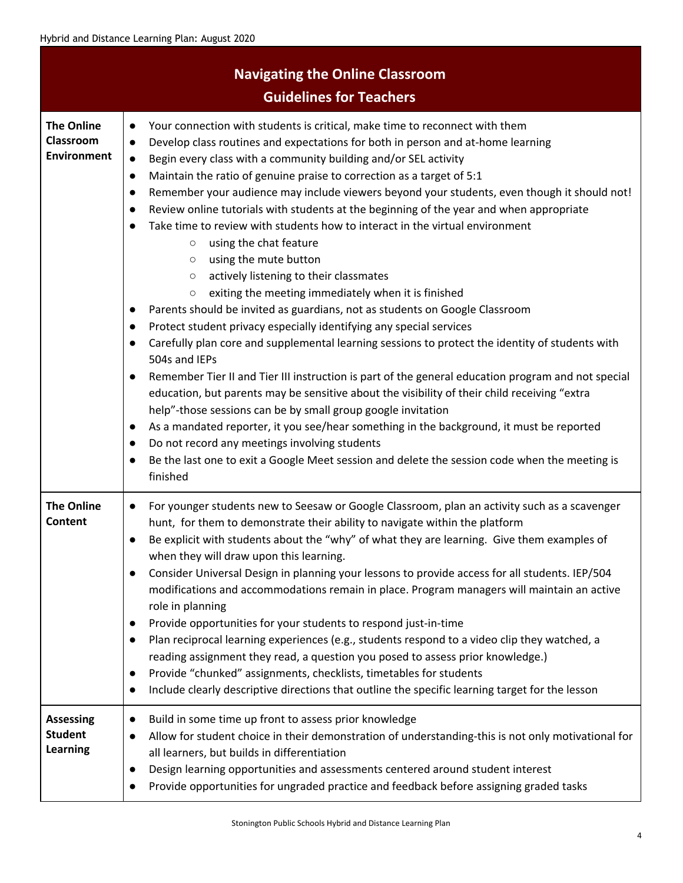<span id="page-3-0"></span>

|                                                       | <b>Navigating the Online Classroom</b><br><b>Guidelines for Teachers</b>                                                                                                                                                                                                                                                                                                                                                                                                                                                                                                                                                                                                                                                                                                                                                                                                                                                                                                                                                                                                                                                                                                                                                                                                                                                                                                                                                                                                                                                                                                                                                                                                                                                                                                             |
|-------------------------------------------------------|--------------------------------------------------------------------------------------------------------------------------------------------------------------------------------------------------------------------------------------------------------------------------------------------------------------------------------------------------------------------------------------------------------------------------------------------------------------------------------------------------------------------------------------------------------------------------------------------------------------------------------------------------------------------------------------------------------------------------------------------------------------------------------------------------------------------------------------------------------------------------------------------------------------------------------------------------------------------------------------------------------------------------------------------------------------------------------------------------------------------------------------------------------------------------------------------------------------------------------------------------------------------------------------------------------------------------------------------------------------------------------------------------------------------------------------------------------------------------------------------------------------------------------------------------------------------------------------------------------------------------------------------------------------------------------------------------------------------------------------------------------------------------------------|
| <b>The Online</b><br>Classroom<br><b>Environment</b>  | Your connection with students is critical, make time to reconnect with them<br>$\bullet$<br>Develop class routines and expectations for both in person and at-home learning<br>$\bullet$<br>Begin every class with a community building and/or SEL activity<br>$\bullet$<br>Maintain the ratio of genuine praise to correction as a target of 5:1<br>$\bullet$<br>Remember your audience may include viewers beyond your students, even though it should not!<br>$\bullet$<br>Review online tutorials with students at the beginning of the year and when appropriate<br>$\bullet$<br>Take time to review with students how to interact in the virtual environment<br>$\bullet$<br>using the chat feature<br>$\circ$<br>using the mute button<br>$\circ$<br>actively listening to their classmates<br>$\circ$<br>exiting the meeting immediately when it is finished<br>$\circ$<br>Parents should be invited as guardians, not as students on Google Classroom<br>$\bullet$<br>Protect student privacy especially identifying any special services<br>$\bullet$<br>Carefully plan core and supplemental learning sessions to protect the identity of students with<br>$\bullet$<br>504s and IEPs<br>Remember Tier II and Tier III instruction is part of the general education program and not special<br>$\bullet$<br>education, but parents may be sensitive about the visibility of their child receiving "extra<br>help"-those sessions can be by small group google invitation<br>As a mandated reporter, it you see/hear something in the background, it must be reported<br>$\bullet$<br>Do not record any meetings involving students<br>$\bullet$<br>Be the last one to exit a Google Meet session and delete the session code when the meeting is<br>$\bullet$<br>finished |
| <b>The Online</b><br>Content                          | For younger students new to Seesaw or Google Classroom, plan an activity such as a scavenger<br>$\bullet$<br>hunt, for them to demonstrate their ability to navigate within the platform<br>Be explicit with students about the "why" of what they are learning. Give them examples of<br>when they will draw upon this learning.<br>Consider Universal Design in planning your lessons to provide access for all students. IEP/504<br>$\bullet$<br>modifications and accommodations remain in place. Program managers will maintain an active<br>role in planning<br>Provide opportunities for your students to respond just-in-time<br>$\bullet$<br>Plan reciprocal learning experiences (e.g., students respond to a video clip they watched, a<br>$\bullet$<br>reading assignment they read, a question you posed to assess prior knowledge.)<br>Provide "chunked" assignments, checklists, timetables for students<br>$\bullet$<br>Include clearly descriptive directions that outline the specific learning target for the lesson<br>$\bullet$                                                                                                                                                                                                                                                                                                                                                                                                                                                                                                                                                                                                                                                                                                                                 |
| <b>Assessing</b><br><b>Student</b><br><b>Learning</b> | Build in some time up front to assess prior knowledge<br>$\bullet$<br>Allow for student choice in their demonstration of understanding-this is not only motivational for<br>$\bullet$<br>all learners, but builds in differentiation<br>Design learning opportunities and assessments centered around student interest<br>Provide opportunities for ungraded practice and feedback before assigning graded tasks                                                                                                                                                                                                                                                                                                                                                                                                                                                                                                                                                                                                                                                                                                                                                                                                                                                                                                                                                                                                                                                                                                                                                                                                                                                                                                                                                                     |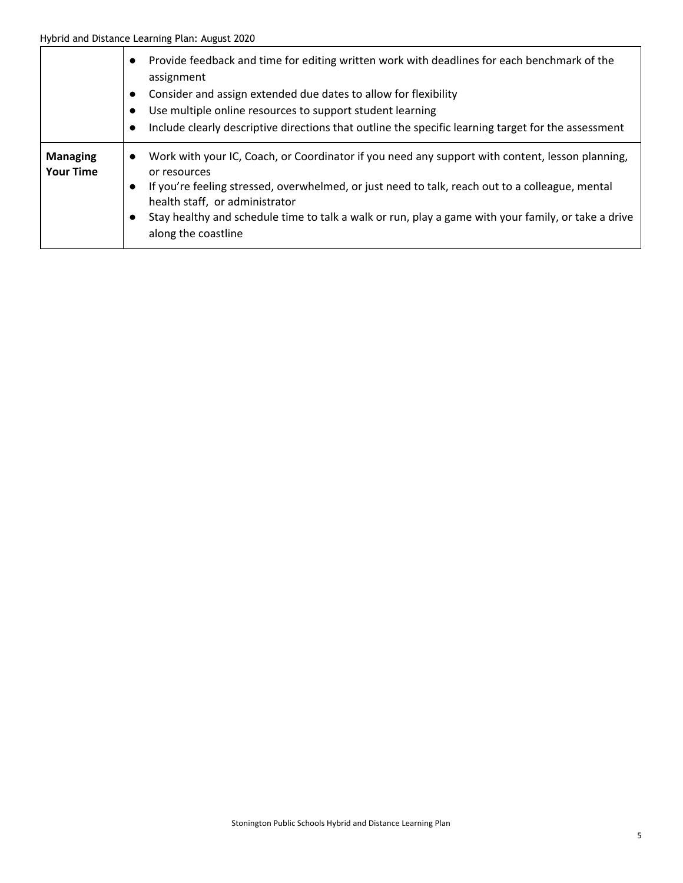|                                     | Provide feedback and time for editing written work with deadlines for each benchmark of the<br>$\bullet$<br>assignment<br>Consider and assign extended due dates to allow for flexibility<br>$\bullet$<br>Use multiple online resources to support student learning<br>Include clearly descriptive directions that outline the specific learning target for the assessment                                                |
|-------------------------------------|---------------------------------------------------------------------------------------------------------------------------------------------------------------------------------------------------------------------------------------------------------------------------------------------------------------------------------------------------------------------------------------------------------------------------|
| <b>Managing</b><br><b>Your Time</b> | Work with your IC, Coach, or Coordinator if you need any support with content, lesson planning,<br>$\bullet$<br>or resources<br>If you're feeling stressed, overwhelmed, or just need to talk, reach out to a colleague, mental<br>$\bullet$<br>health staff, or administrator<br>Stay healthy and schedule time to talk a walk or run, play a game with your family, or take a drive<br>$\bullet$<br>along the coastline |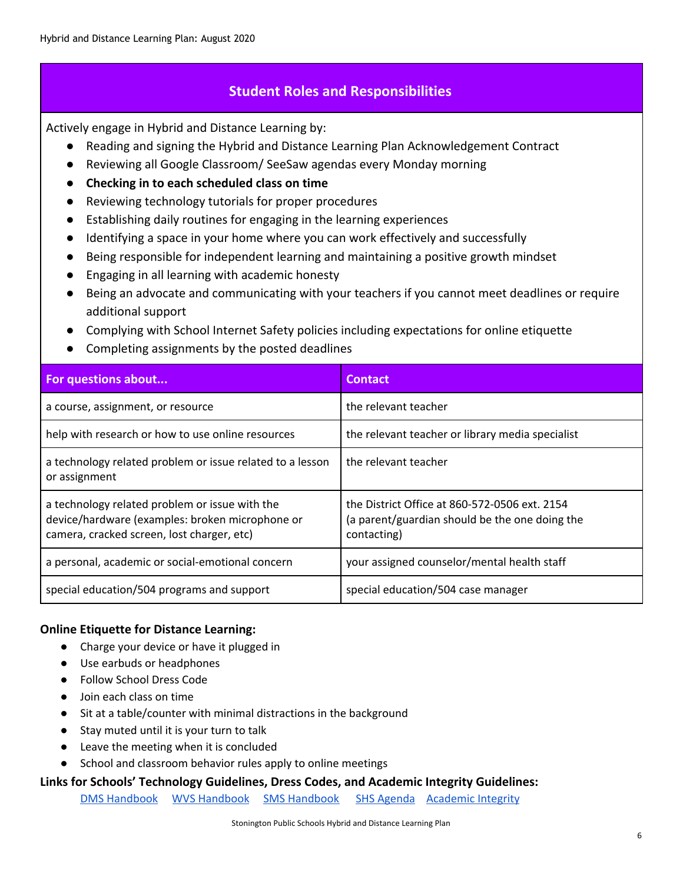# **Student Roles and Responsibilities**

<span id="page-5-0"></span>Actively engage in Hybrid and Distance Learning by:

- Reading and signing the Hybrid and Distance Learning Plan Acknowledgement Contract
- Reviewing all Google Classroom/ SeeSaw agendas every Monday morning
- **● Checking in to each scheduled class on time**
- Reviewing technology tutorials for proper procedures
- Establishing daily routines for engaging in the learning experiences
- Identifying a space in your home where you can work effectively and successfully
- Being responsible for independent learning and maintaining a positive growth mindset
- Engaging in all learning with academic honesty
- Being an advocate and communicating with your teachers if you cannot meet deadlines or require additional support
- Complying with School Internet Safety policies including expectations for online etiquette
- Completing assignments by the posted deadlines

| For questions about                                                                                                                             | <b>Contact</b>                                                                                                 |
|-------------------------------------------------------------------------------------------------------------------------------------------------|----------------------------------------------------------------------------------------------------------------|
| a course, assignment, or resource                                                                                                               | the relevant teacher                                                                                           |
| help with research or how to use online resources                                                                                               | the relevant teacher or library media specialist                                                               |
| a technology related problem or issue related to a lesson<br>or assignment                                                                      | the relevant teacher                                                                                           |
| a technology related problem or issue with the<br>device/hardware (examples: broken microphone or<br>camera, cracked screen, lost charger, etc) | the District Office at 860-572-0506 ext. 2154<br>(a parent/guardian should be the one doing the<br>contacting) |
| a personal, academic or social-emotional concern                                                                                                | your assigned counselor/mental health staff                                                                    |
| special education/504 programs and support                                                                                                      | special education/504 case manager                                                                             |

#### **Online Etiquette for Distance Learning:**

- Charge your device or have it plugged in
- Use earbuds or headphones
- Follow School Dress Code
- Join each class on time
- Sit at a table/counter with minimal distractions in the background
- Stay muted until it is your turn to talk
- Leave the meeting when it is concluded
- School and classroom behavior rules apply to online meetings

#### **Links for Schools' Technology Guidelines, Dress Codes, and Academic Integrity Guidelines:**

DMS [Handbook](https://drive.google.com/file/d/1_gZ76DhQB_5ksiuqEy2lr0rwCVV6K26b/view) WVS [Handbook](https://docs.google.com/document/d/1jlIojpTOKDNjlBaL47wtGhJI2UNJDEtLduahutRcPs4/edit) SMS [Handbook](https://drive.google.com/file/d/119i5VoGX-WmuBEvhlv3ZlyIwvsHKAM_n/view) SHS [Agenda](https://www.stoningtonschools.org/schools/stonington-high-school/students/agenda) [Academic](https://docs.google.com/document/d/1lSOc02Bl-GIoVG7QAXg_M35RWPD2n-rdrCoouk9GCN8/edit?usp=sharing) Integrity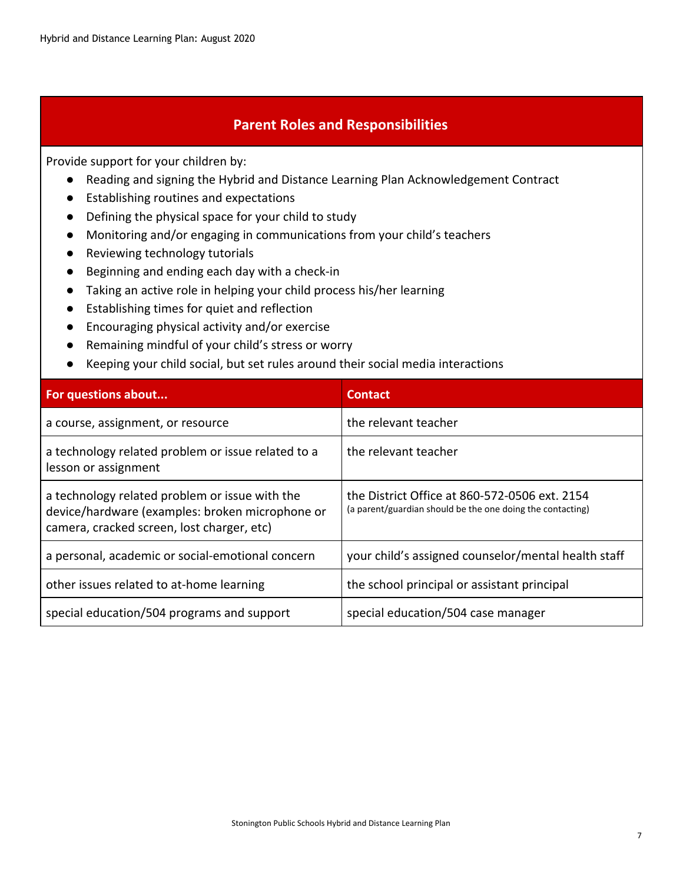## **Parent Roles and Responsibilities**

<span id="page-6-0"></span>Provide support for your children by:

- Reading and signing the Hybrid and Distance Learning Plan Acknowledgement Contract
- Establishing routines and expectations
- Defining the physical space for your child to study
- Monitoring and/or engaging in communications from your child's teachers
- Reviewing technology tutorials
- Beginning and ending each day with a check-in
- Taking an active role in helping your child process his/her learning
- Establishing times for quiet and reflection
- Encouraging physical activity and/or exercise
- Remaining mindful of your child's stress or worry
- Keeping your child social, but set rules around their social media interactions

| For questions about                                                                                                                             | <b>Contact</b>                                                                                              |
|-------------------------------------------------------------------------------------------------------------------------------------------------|-------------------------------------------------------------------------------------------------------------|
| a course, assignment, or resource                                                                                                               | the relevant teacher                                                                                        |
| a technology related problem or issue related to a<br>lesson or assignment                                                                      | the relevant teacher                                                                                        |
| a technology related problem or issue with the<br>device/hardware (examples: broken microphone or<br>camera, cracked screen, lost charger, etc) | the District Office at 860-572-0506 ext. 2154<br>(a parent/guardian should be the one doing the contacting) |
| a personal, academic or social-emotional concern                                                                                                | your child's assigned counselor/mental health staff                                                         |
| other issues related to at-home learning                                                                                                        | the school principal or assistant principal                                                                 |
| special education/504 programs and support                                                                                                      | special education/504 case manager                                                                          |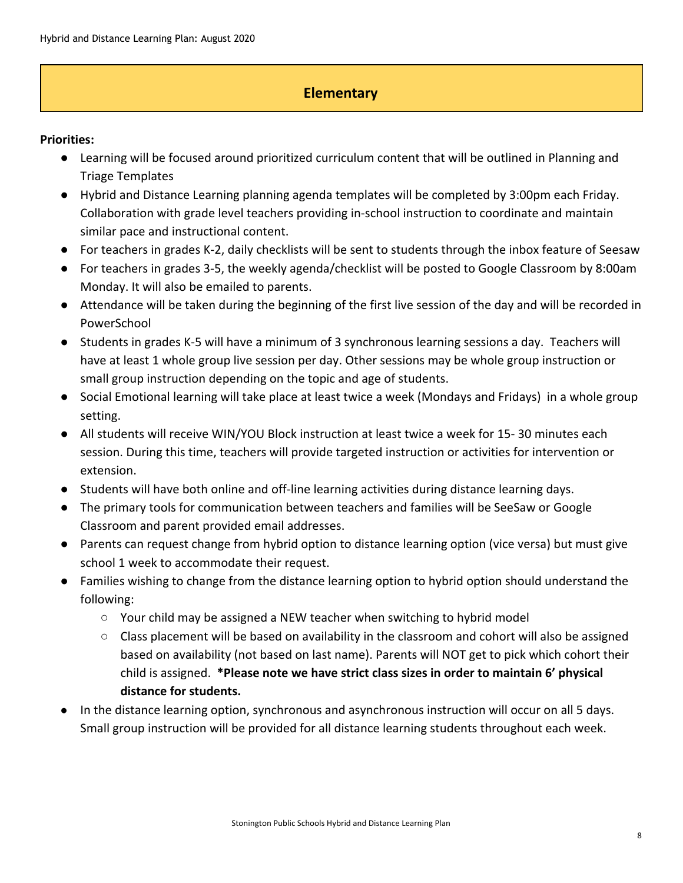# **Elementary**

#### <span id="page-7-0"></span>**Priorities:**

- Learning will be focused around prioritized curriculum content that will be outlined in Planning and Triage Templates
- Hybrid and Distance Learning planning agenda templates will be completed by 3:00pm each Friday. Collaboration with grade level teachers providing in-school instruction to coordinate and maintain similar pace and instructional content.
- For teachers in grades K-2, daily checklists will be sent to students through the inbox feature of Seesaw
- For teachers in grades 3-5, the weekly agenda/checklist will be posted to Google Classroom by 8:00am Monday. It will also be emailed to parents.
- Attendance will be taken during the beginning of the first live session of the day and will be recorded in PowerSchool
- Students in grades K-5 will have a minimum of 3 synchronous learning sessions a day. Teachers will have at least 1 whole group live session per day. Other sessions may be whole group instruction or small group instruction depending on the topic and age of students.
- Social Emotional learning will take place at least twice a week (Mondays and Fridays) in a whole group setting.
- All students will receive WIN/YOU Block instruction at least twice a week for 15-30 minutes each session. During this time, teachers will provide targeted instruction or activities for intervention or extension.
- Students will have both online and off-line learning activities during distance learning days.
- The primary tools for communication between teachers and families will be SeeSaw or Google Classroom and parent provided email addresses.
- Parents can request change from hybrid option to distance learning option (vice versa) but must give school 1 week to accommodate their request.
- Families wishing to change from the distance learning option to hybrid option should understand the following:
	- Your child may be assigned a NEW teacher when switching to hybrid model
	- $\circ$  Class placement will be based on availability in the classroom and cohort will also be assigned based on availability (not based on last name). Parents will NOT get to pick which cohort their child is assigned. **\*Please note we have strict class sizes in order to maintain 6' physical distance for students.**
- In the distance learning option, synchronous and asynchronous instruction will occur on all 5 days. Small group instruction will be provided for all distance learning students throughout each week.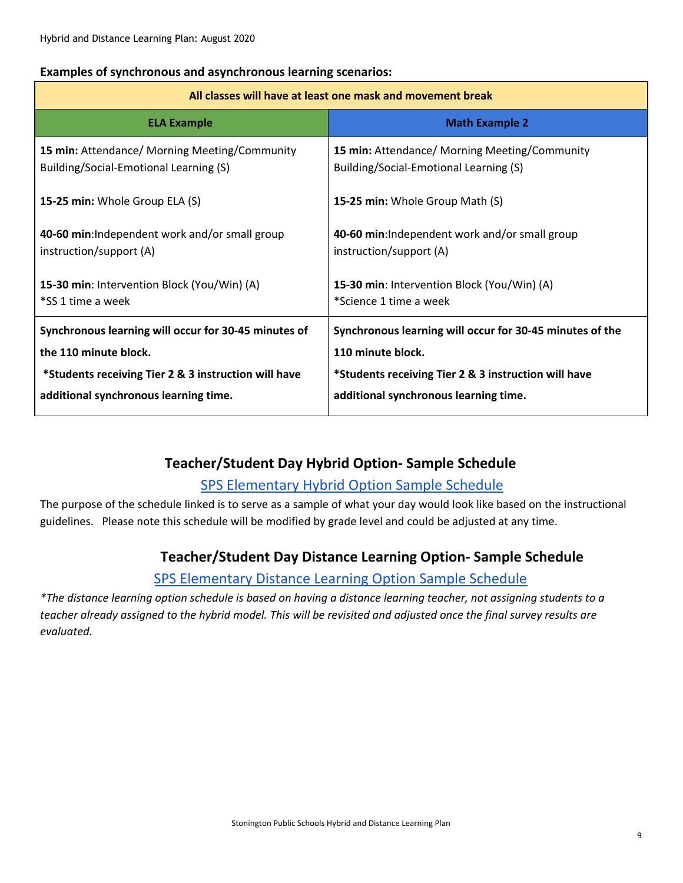#### **Examples of synchronous and asynchronous learning scenarios:**

#### **All classes will have at least one mask and movement break**

| <b>ELA Example</b>                                   | <b>Math Example 2</b>                                    |
|------------------------------------------------------|----------------------------------------------------------|
| 15 min: Attendance/ Morning Meeting/Community        | 15 min: Attendance/ Morning Meeting/Community            |
| Building/Social-Emotional Learning (S)               | Building/Social-Emotional Learning (S)                   |
| 15-25 min: Whole Group ELA (S)                       | 15-25 min: Whole Group Math (S)                          |
| 40-60 min: Independent work and/or small group       | 40-60 min: Independent work and/or small group           |
| instruction/support (A)                              | instruction/support (A)                                  |
| 15-30 min: Intervention Block (You/Win) (A)          | 15-30 min: Intervention Block (You/Win) (A)              |
| *SS 1 time a week                                    | *Science 1 time a week                                   |
| Synchronous learning will occur for 30-45 minutes of | Synchronous learning will occur for 30-45 minutes of the |
| the 110 minute block.                                | 110 minute block.                                        |
| *Students receiving Tier 2 & 3 instruction will have | *Students receiving Tier 2 & 3 instruction will have     |
| additional synchronous learning time.                | additional synchronous learning time.                    |

# **Teacher/Student Day Hybrid Option- Sample Schedule**

# SPS [Elementary](https://docs.google.com/document/d/1zGIPHR5mDavSMgAlIY5LXwBj7TtzKiPQdI29EOsK_D0/edit?usp=sharing) Hybrid Option Sample Schedule

The purpose of the schedule linked is to serve as a sample of what your day would look like based on the instructional guidelines. Please note this schedule will be modified by grade level and could be adjusted at any time.

# **Teacher/Student Day Distance Learning Option- Sample Schedule**

# SPS [Elementary](https://docs.google.com/document/d/1K9esTCUih3yRlLAIMO5YIo3jJg10cGrmhYBy5M2qsJU/edit?usp=sharing) Distance Learning Option Sample Schedule

\*The distance learning option schedule is based on having a distance learning teacher, not assigning students to a teacher already assigned to the hybrid model. This will be revisited and adjusted once the final survey results are *evaluated.*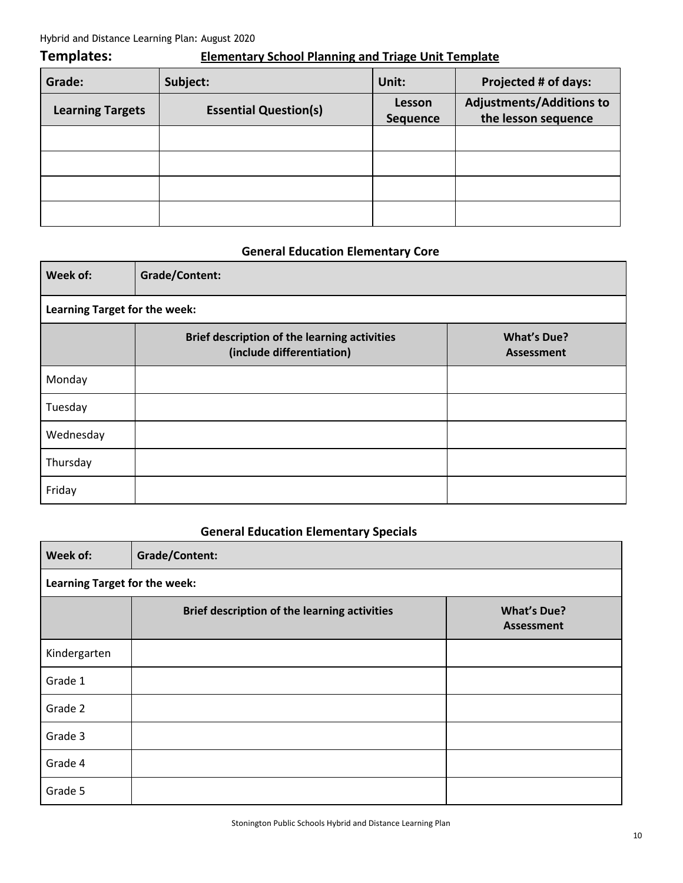#### Hybrid and Distance Learning Plan: August 2020

# **Templates: Elementary School Planning and Triage Unit Template**

| Grade:                  | Subject:                     | Unit:                     | Projected # of days:                                   |
|-------------------------|------------------------------|---------------------------|--------------------------------------------------------|
| <b>Learning Targets</b> | <b>Essential Question(s)</b> | Lesson<br><b>Sequence</b> | <b>Adjustments/Additions to</b><br>the lesson sequence |
|                         |                              |                           |                                                        |
|                         |                              |                           |                                                        |
|                         |                              |                           |                                                        |
|                         |                              |                           |                                                        |

#### **General Education Elementary Core**

| Week of:                      | <b>Grade/Content:</b>                                                     |                                         |  |
|-------------------------------|---------------------------------------------------------------------------|-----------------------------------------|--|
| Learning Target for the week: |                                                                           |                                         |  |
|                               | Brief description of the learning activities<br>(include differentiation) | <b>What's Due?</b><br><b>Assessment</b> |  |
| Monday                        |                                                                           |                                         |  |
| Tuesday                       |                                                                           |                                         |  |
| Wednesday                     |                                                                           |                                         |  |
| Thursday                      |                                                                           |                                         |  |
| Friday                        |                                                                           |                                         |  |

# **General Education Elementary Specials**

| Week of:                      | <b>Grade/Content:</b>                        |                                         |  |
|-------------------------------|----------------------------------------------|-----------------------------------------|--|
| Learning Target for the week: |                                              |                                         |  |
|                               | Brief description of the learning activities | <b>What's Due?</b><br><b>Assessment</b> |  |
| Kindergarten                  |                                              |                                         |  |
| Grade 1                       |                                              |                                         |  |
| Grade 2                       |                                              |                                         |  |
| Grade 3                       |                                              |                                         |  |
| Grade 4                       |                                              |                                         |  |
| Grade 5                       |                                              |                                         |  |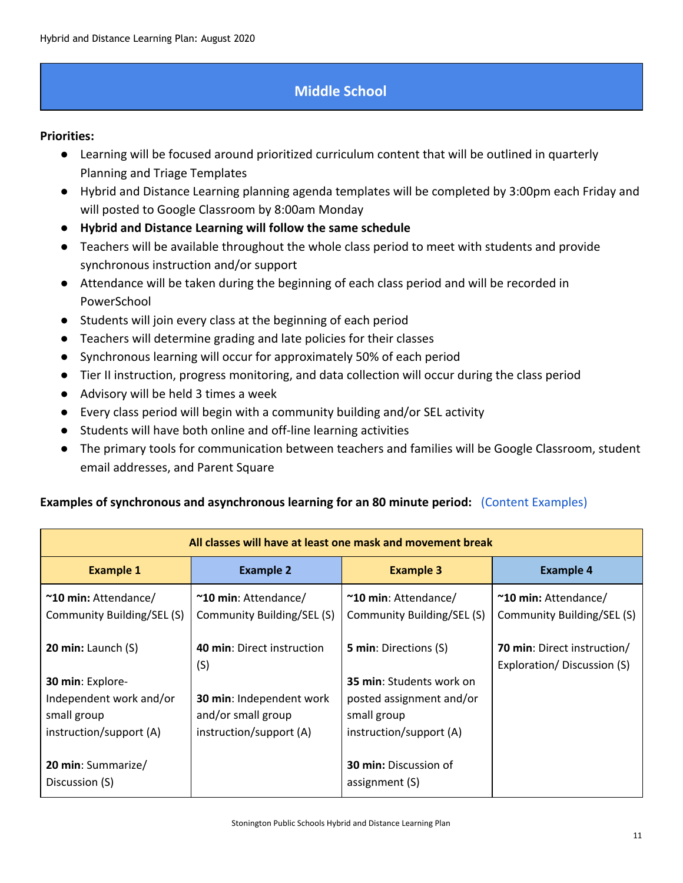# **Middle School**

#### <span id="page-10-0"></span>**Priorities:**

- Learning will be focused around prioritized curriculum content that will be outlined in quarterly Planning and Triage Templates
- Hybrid and Distance Learning planning agenda templates will be completed by 3:00pm each Friday and will posted to Google Classroom by 8:00am Monday
- **● Hybrid and Distance Learning will follow the same schedule**
- Teachers will be available throughout the whole class period to meet with students and provide synchronous instruction and/or support
- Attendance will be taken during the beginning of each class period and will be recorded in PowerSchool
- Students will join every class at the beginning of each period
- Teachers will determine grading and late policies for their classes
- Synchronous learning will occur for approximately 50% of each period
- Tier II instruction, progress monitoring, and data collection will occur during the class period
- Advisory will be held 3 times a week
- Every class period will begin with a community building and/or SEL activity
- Students will have both online and off-line learning activities
- The primary tools for communication between teachers and families will be Google Classroom, student email addresses, and Parent Square

#### **Examples of synchronous and asynchronous learning for an 80 minute period:** [\(Content Examples\)](https://docs.google.com/document/d/162aTFMVbiPsQDJNCNfIFmn3YY2wlScjIhIfkgJ5pMPA/edit?usp=sharing)

| All classes will have at least one mask and movement break                            |                                                                           |                                                                                                       |                                                           |
|---------------------------------------------------------------------------------------|---------------------------------------------------------------------------|-------------------------------------------------------------------------------------------------------|-----------------------------------------------------------|
| <b>Example 1</b>                                                                      | <b>Example 2</b>                                                          | <b>Example 3</b>                                                                                      | <b>Example 4</b>                                          |
| ~10 min: Attendance/<br>Community Building/SEL (S)                                    | ~10 min: Attendance/<br>Community Building/SEL (S)                        | ~10 min: Attendance/<br>Community Building/SEL (S)                                                    | $\sim$ 10 min: Attendance/<br>Community Building/SEL (S)  |
| 20 min: Launch $(S)$                                                                  | 40 min: Direct instruction<br>(S)                                         | <b>5 min:</b> Directions (S)                                                                          | 70 min: Direct instruction/<br>Exploration/Discussion (S) |
| 30 min: Explore-<br>Independent work and/or<br>small group<br>instruction/support (A) | 30 min: Independent work<br>and/or small group<br>instruction/support (A) | <b>35 min:</b> Students work on<br>posted assignment and/or<br>small group<br>instruction/support (A) |                                                           |
| 20 min: Summarize/<br>Discussion (S)                                                  |                                                                           | <b>30 min: Discussion of</b><br>assignment (S)                                                        |                                                           |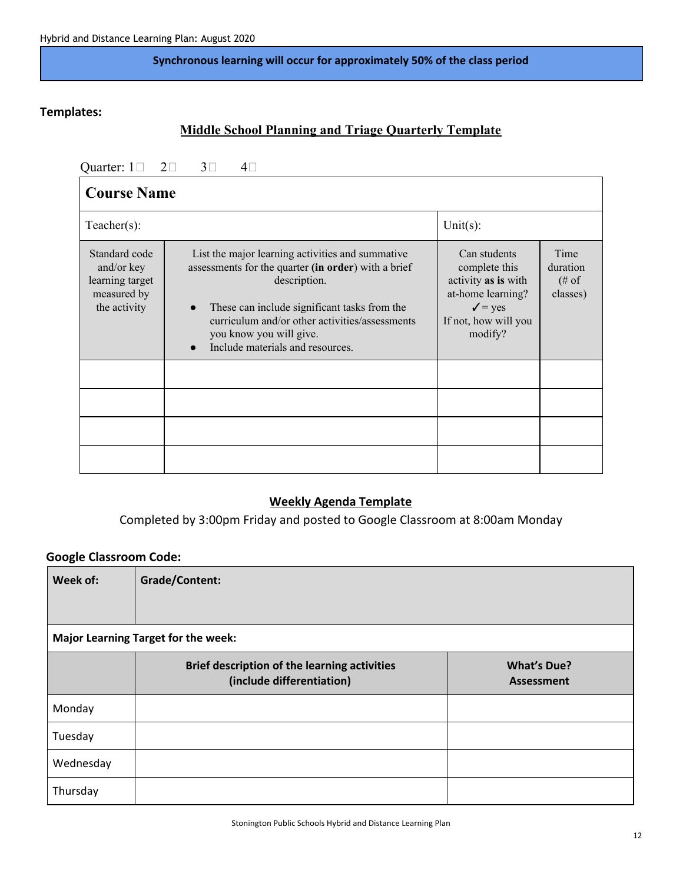#### **Synchronous learning will occur for approximately 50% of the class period**

### **Templates:**

# **Middle School Planning and Triage Quarterly Template**

Quarter:  $1 \square$   $2 \square$   $3 \square$   $4 \square$ 

| <b>Course Name</b>                                                            |                                                                                                                                                                                                                                                                                                       |                                                                                                                                    |                                                |  |  |  |  |
|-------------------------------------------------------------------------------|-------------------------------------------------------------------------------------------------------------------------------------------------------------------------------------------------------------------------------------------------------------------------------------------------------|------------------------------------------------------------------------------------------------------------------------------------|------------------------------------------------|--|--|--|--|
| $Teacher(s)$ :                                                                |                                                                                                                                                                                                                                                                                                       | Unit $(s)$ :                                                                                                                       |                                                |  |  |  |  |
| Standard code<br>and/or key<br>learning target<br>measured by<br>the activity | List the major learning activities and summative<br>assessments for the quarter (in order) with a brief<br>description.<br>These can include significant tasks from the<br>$\bullet$<br>curriculum and/or other activities/assessments<br>you know you will give.<br>Include materials and resources. | Can students<br>complete this<br>activity as is with<br>at-home learning?<br>$\checkmark$ = yes<br>If not, how will you<br>modify? | Time<br>duration<br>$(\# \circ f)$<br>classes) |  |  |  |  |
|                                                                               |                                                                                                                                                                                                                                                                                                       |                                                                                                                                    |                                                |  |  |  |  |
|                                                                               |                                                                                                                                                                                                                                                                                                       |                                                                                                                                    |                                                |  |  |  |  |

#### **Weekly Agenda Template**

Completed by 3:00pm Friday and posted to Google Classroom at 8:00am Monday

#### **Google Classroom Code:**

| Week of:                                   | <b>Grade/Content:</b>                                                     |                                         |  |  |  |  |
|--------------------------------------------|---------------------------------------------------------------------------|-----------------------------------------|--|--|--|--|
|                                            |                                                                           |                                         |  |  |  |  |
| <b>Major Learning Target for the week:</b> |                                                                           |                                         |  |  |  |  |
|                                            | Brief description of the learning activities<br>(include differentiation) | <b>What's Due?</b><br><b>Assessment</b> |  |  |  |  |
| Monday                                     |                                                                           |                                         |  |  |  |  |
| Tuesday                                    |                                                                           |                                         |  |  |  |  |
| Wednesday                                  |                                                                           |                                         |  |  |  |  |
| Thursday                                   |                                                                           |                                         |  |  |  |  |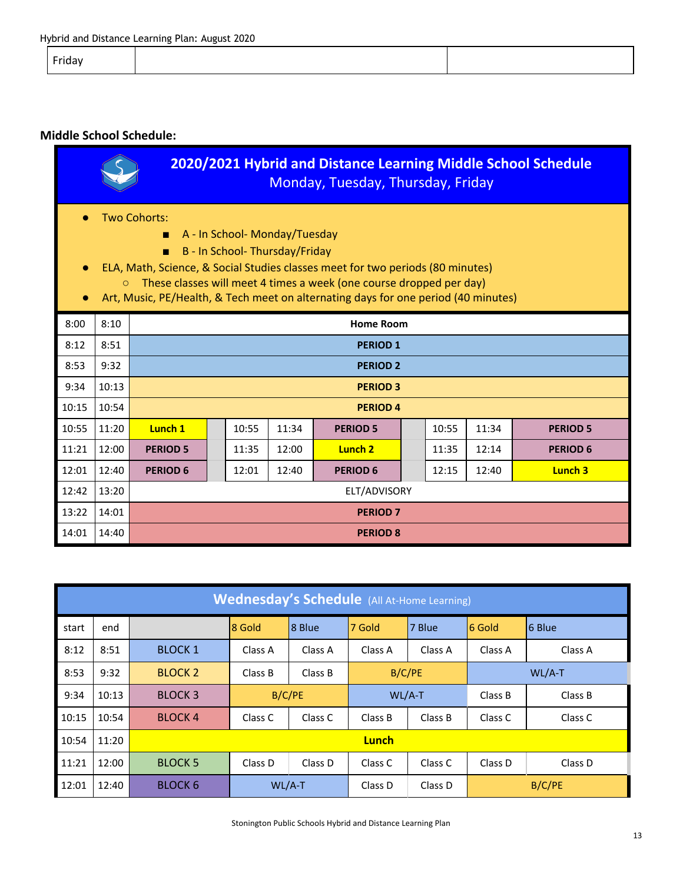Friday

#### **Middle School Schedule:**

| 2020/2021 Hybrid and Distance Learning Middle School Schedule<br>Monday, Tuesday, Thursday, Friday                                                                                                                                                                                                                                       |       |                 |                                                                |       |       |                    |  |       |       |                 |
|------------------------------------------------------------------------------------------------------------------------------------------------------------------------------------------------------------------------------------------------------------------------------------------------------------------------------------------|-------|-----------------|----------------------------------------------------------------|-------|-------|--------------------|--|-------|-------|-----------------|
| Two Cohorts:<br>A - In School- Monday/Tuesday<br>B - In School-Thursday/Friday<br>ELA, Math, Science, & Social Studies classes meet for two periods (80 minutes)<br>These classes will meet 4 times a week (one course dropped per day)<br>$\circ$<br>Art, Music, PE/Health, & Tech meet on alternating days for one period (40 minutes) |       |                 |                                                                |       |       |                    |  |       |       |                 |
| 8:00                                                                                                                                                                                                                                                                                                                                     | 8:10  |                 |                                                                |       |       | <b>Home Room</b>   |  |       |       |                 |
| 8:12                                                                                                                                                                                                                                                                                                                                     | 8:51  |                 |                                                                |       |       | <b>PERIOD 1</b>    |  |       |       |                 |
| 8:53                                                                                                                                                                                                                                                                                                                                     | 9:32  |                 |                                                                |       |       | <b>PERIOD 2</b>    |  |       |       |                 |
| 9:34                                                                                                                                                                                                                                                                                                                                     | 10:13 |                 |                                                                |       |       | <b>PERIOD 3</b>    |  |       |       |                 |
| 10:15                                                                                                                                                                                                                                                                                                                                    | 10:54 |                 |                                                                |       |       | <b>PERIOD 4</b>    |  |       |       |                 |
| 10:55                                                                                                                                                                                                                                                                                                                                    | 11:20 | Lunch 1         |                                                                | 10:55 | 11:34 | <b>PERIOD 5</b>    |  | 10:55 | 11:34 | <b>PERIOD 5</b> |
| 11:21                                                                                                                                                                                                                                                                                                                                    | 12:00 | <b>PERIOD 5</b> |                                                                | 11:35 | 12:00 | Lunch <sub>2</sub> |  | 11:35 | 12:14 | <b>PERIOD 6</b> |
| 12:01                                                                                                                                                                                                                                                                                                                                    | 12:40 | <b>PERIOD 6</b> | 12:40<br>Lunch 3<br>12:01<br><b>PERIOD 6</b><br>12:15<br>12:40 |       |       |                    |  |       |       |                 |
| 12:42                                                                                                                                                                                                                                                                                                                                    | 13:20 | ELT/ADVISORY    |                                                                |       |       |                    |  |       |       |                 |
| 13:22                                                                                                                                                                                                                                                                                                                                    | 14:01 | <b>PERIOD 7</b> |                                                                |       |       |                    |  |       |       |                 |
| 14:01                                                                                                                                                                                                                                                                                                                                    | 14:40 |                 |                                                                |       |       | <b>PERIOD 8</b>    |  |       |       |                 |

| <b>Wednesday's Schedule</b> (All At-Home Learning) |       |                |              |                               |          |         |         |         |
|----------------------------------------------------|-------|----------------|--------------|-------------------------------|----------|---------|---------|---------|
| start                                              | end   |                | 8 Gold       | 8 Blue                        | 7 Gold   | 7 Blue  | 6 Gold  | 6 Blue  |
| 8:12                                               | 8:51  | <b>BLOCK 1</b> | Class A      | Class A                       | Class A  | Class A | Class A | Class A |
| 8:53                                               | 9:32  | <b>BLOCK 2</b> | Class B      | B/C/PE<br>$WL/A-T$<br>Class B |          |         |         |         |
| 9:34                                               | 10:13 | <b>BLOCK 3</b> | B/C/PE       |                               | $WL/A-T$ |         | Class B | Class B |
| 10:15                                              | 10:54 | <b>BLOCK4</b>  | Class C      | Class C                       | Class B  | Class B | Class C | Class C |
| 10:54                                              | 11:20 |                | <b>Lunch</b> |                               |          |         |         |         |
| 11:21                                              | 12:00 | <b>BLOCK 5</b> | Class D      | Class D                       | Class C  | Class C | Class D | Class D |
| 12:01                                              | 12:40 | <b>BLOCK 6</b> | $WL/A-T$     |                               | Class D  | Class D |         | B/C/PE  |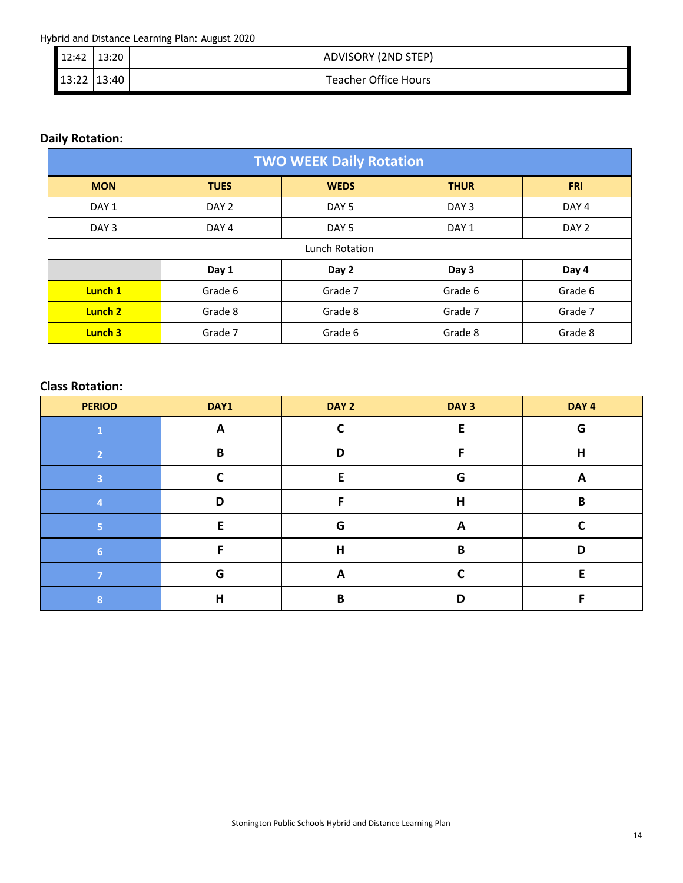Hybrid and Distance Learning Plan: August 2020

| $12:42$   13:20 | ADVISORY (2ND STEP)         |
|-----------------|-----------------------------|
| $13:22$ 13:40   | <b>Teacher Office Hours</b> |

### **Daily Rotation:**

| <b>TWO WEEK Daily Rotation</b> |                  |                  |                  |                  |  |  |  |
|--------------------------------|------------------|------------------|------------------|------------------|--|--|--|
| <b>MON</b>                     | <b>TUES</b>      | <b>WEDS</b>      | <b>THUR</b>      | <b>FRI</b>       |  |  |  |
| DAY <sub>1</sub>               | DAY <sub>2</sub> | DAY <sub>5</sub> | DAY <sub>3</sub> | DAY <sub>4</sub> |  |  |  |
| DAY <sub>3</sub>               | DAY <sub>4</sub> | DAY <sub>5</sub> | DAY <sub>1</sub> | DAY <sub>2</sub> |  |  |  |
|                                | Lunch Rotation   |                  |                  |                  |  |  |  |
|                                | Day 1            | Day 2            | Day 3            | Day 4            |  |  |  |
| Lunch 1                        | Grade 6          | Grade 7          | Grade 6          | Grade 6          |  |  |  |
| Lunch <sub>2</sub>             | Grade 8          | Grade 8          | Grade 7          | Grade 7          |  |  |  |
| Lunch 3                        | Grade 7          | Grade 6          | Grade 8          | Grade 8          |  |  |  |

### **Class Rotation:**

| <b>PERIOD</b>            | DAY1 | DAY 2 | DAY <sub>3</sub> | DAY <sub>4</sub> |
|--------------------------|------|-------|------------------|------------------|
|                          | A    |       |                  | G                |
| $\overline{\phantom{a}}$ | B    | D     |                  | H                |
| 3                        |      |       | G                | A                |
|                          | D    |       | Н                | B                |
| к                        | F    | G     | A                |                  |
| 6                        | E    | Н     | B                | D                |
|                          | G    | A     |                  | F                |
| 8                        | Н    | B     | D                |                  |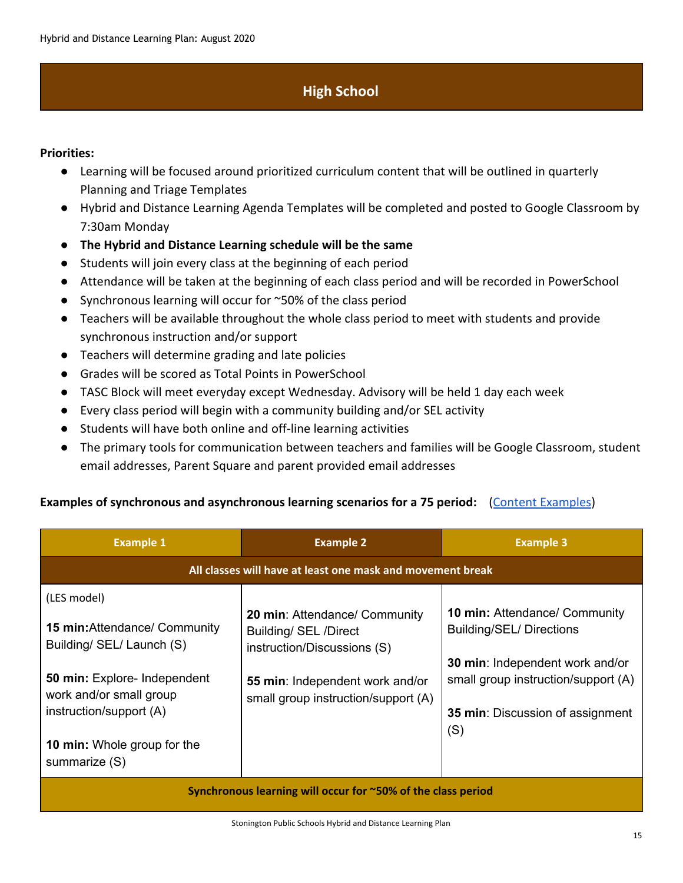# **High School**

#### <span id="page-14-0"></span>**Priorities:**

- Learning will be focused around prioritized curriculum content that will be outlined in quarterly Planning and Triage Templates
- Hybrid and Distance Learning Agenda Templates will be completed and posted to Google Classroom by 7:30am Monday
- **● The Hybrid and Distance Learning schedule will be the same**
- Students will join every class at the beginning of each period
- Attendance will be taken at the beginning of each class period and will be recorded in PowerSchool
- Synchronous learning will occur for ~50% of the class period
- Teachers will be available throughout the whole class period to meet with students and provide synchronous instruction and/or support
- Teachers will determine grading and late policies
- Grades will be scored as Total Points in PowerSchool
- TASC Block will meet everyday except Wednesday. Advisory will be held 1 day each week
- Every class period will begin with a community building and/or SEL activity
- Students will have both online and off-line learning activities
- The primary tools for communication between teachers and families will be Google Classroom, student email addresses, Parent Square and parent provided email addresses

#### Examples of synchronous and asynchronous learning scenarios for a 75 period: [\(Content Examples](https://docs.google.com/document/d/162aTFMVbiPsQDJNCNfIFmn3YY2wlScjIhIfkgJ5pMPA/edit?usp=sharing))

| <b>Example 1</b>                                                                                                                                                                                                              | <b>Example 2</b>                                                                                                                                                | <b>Example 3</b>                                                                                                                                                                                    |  |  |  |  |  |
|-------------------------------------------------------------------------------------------------------------------------------------------------------------------------------------------------------------------------------|-----------------------------------------------------------------------------------------------------------------------------------------------------------------|-----------------------------------------------------------------------------------------------------------------------------------------------------------------------------------------------------|--|--|--|--|--|
| All classes will have at least one mask and movement break                                                                                                                                                                    |                                                                                                                                                                 |                                                                                                                                                                                                     |  |  |  |  |  |
| (LES model)<br><b>15 min:</b> Attendance/ Community<br>Building/ SEL/ Launch (S)<br>50 min: Explore- Independent<br>work and/or small group<br>instruction/support (A)<br><b>10 min:</b> Whole group for the<br>summarize (S) | 20 min: Attendance/ Community<br>Building/ SEL /Direct<br>instruction/Discussions (S)<br>55 min: Independent work and/or<br>small group instruction/support (A) | <b>10 min: Attendance/ Community</b><br><b>Building/SEL/ Directions</b><br>30 min: Independent work and/or<br>small group instruction/support (A)<br><b>35 min:</b> Discussion of assignment<br>(S) |  |  |  |  |  |
| Synchronous learning will occur for ~50% of the class period                                                                                                                                                                  |                                                                                                                                                                 |                                                                                                                                                                                                     |  |  |  |  |  |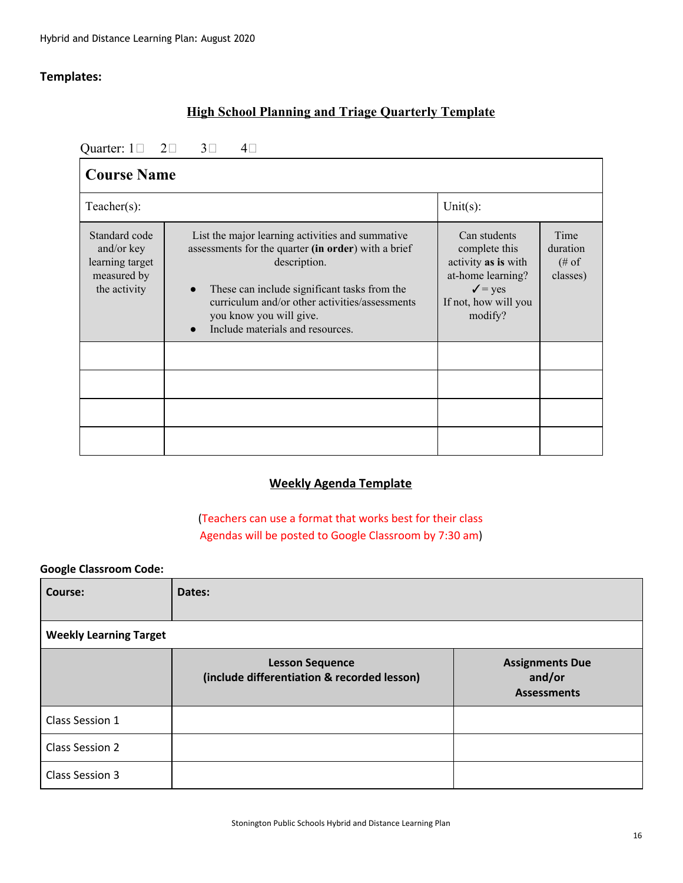### **Templates:**

### **High School Planning and Triage Quarterly Template**

Quarter:  $1 \square$   $2 \square$   $3 \square$   $4 \square$ 

| <b>Course Name</b>                                                                                                                                                                                                                                                                                                                                                        |  |                                                                                                                                                                                    |  |  |  |  |
|---------------------------------------------------------------------------------------------------------------------------------------------------------------------------------------------------------------------------------------------------------------------------------------------------------------------------------------------------------------------------|--|------------------------------------------------------------------------------------------------------------------------------------------------------------------------------------|--|--|--|--|
| $Teacher(s)$ :                                                                                                                                                                                                                                                                                                                                                            |  | Unit $(s)$ :                                                                                                                                                                       |  |  |  |  |
| Standard code<br>List the major learning activities and summative<br>assessments for the quarter (in order) with a brief<br>and/or key<br>learning target<br>description.<br>measured by<br>the activity<br>These can include significant tasks from the<br>curriculum and/or other activities/assessments<br>you know you will give.<br>Include materials and resources. |  | Can students<br>Time<br>complete this<br>duration<br>activity as is with<br>$(\# \circ f)$<br>at-home learning?<br>classes)<br>$\sqrt{ }$ = yes<br>If not, how will you<br>modify? |  |  |  |  |
|                                                                                                                                                                                                                                                                                                                                                                           |  |                                                                                                                                                                                    |  |  |  |  |
|                                                                                                                                                                                                                                                                                                                                                                           |  |                                                                                                                                                                                    |  |  |  |  |
|                                                                                                                                                                                                                                                                                                                                                                           |  |                                                                                                                                                                                    |  |  |  |  |

## **Weekly Agenda Template**

(Teachers can use a format that works best for their class Agendas will be posted to Google Classroom by 7:30 am)

#### **Google Classroom Code:**

| Course:                       | Dates:                                                                |                                                        |  |  |  |  |
|-------------------------------|-----------------------------------------------------------------------|--------------------------------------------------------|--|--|--|--|
| <b>Weekly Learning Target</b> |                                                                       |                                                        |  |  |  |  |
|                               | <b>Lesson Sequence</b><br>(include differentiation & recorded lesson) | <b>Assignments Due</b><br>and/or<br><b>Assessments</b> |  |  |  |  |
| Class Session 1               |                                                                       |                                                        |  |  |  |  |
| Class Session 2               |                                                                       |                                                        |  |  |  |  |
| Class Session 3               |                                                                       |                                                        |  |  |  |  |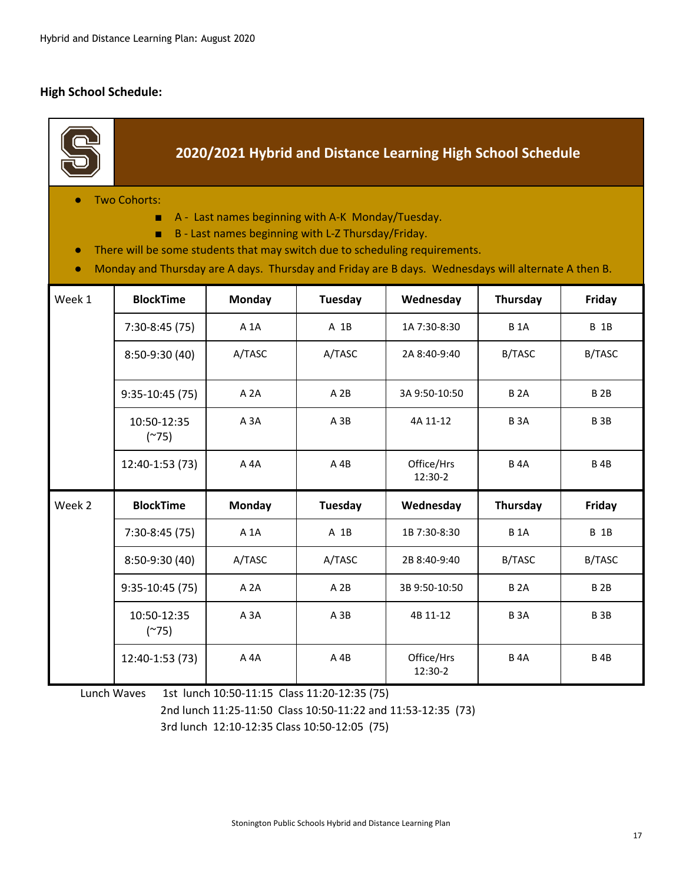#### **High School Schedule:**

r.

|                                                                                                                                                                                                                                                                                                                                              | 2020/2021 Hybrid and Distance Learning High School Schedule |                  |                |                       |               |                 |  |  |  |
|----------------------------------------------------------------------------------------------------------------------------------------------------------------------------------------------------------------------------------------------------------------------------------------------------------------------------------------------|-------------------------------------------------------------|------------------|----------------|-----------------------|---------------|-----------------|--|--|--|
| <b>Two Cohorts:</b><br>A - Last names beginning with A-K Monday/Tuesday.<br>п.<br>B - Last names beginning with L-Z Thursday/Friday.<br>٠<br>There will be some students that may switch due to scheduling requirements.<br>$\bullet$<br>Monday and Thursday are A days. Thursday and Friday are B days. Wednesdays will alternate A then B. |                                                             |                  |                |                       |               |                 |  |  |  |
| Week 1                                                                                                                                                                                                                                                                                                                                       | <b>BlockTime</b>                                            | <b>Monday</b>    | <b>Tuesday</b> | Wednesday             | Thursday      | Friday          |  |  |  |
|                                                                                                                                                                                                                                                                                                                                              | $7:30-8:45(75)$                                             | A 1A             | A 1B           | 1A 7:30-8:30          | <b>B1A</b>    | <b>B</b> 1B     |  |  |  |
|                                                                                                                                                                                                                                                                                                                                              | 8:50-9:30 (40)                                              | A/TASC           | A/TASC         | 2A 8:40-9:40          | B/TASC        | B/TASC          |  |  |  |
|                                                                                                                                                                                                                                                                                                                                              | $9:35-10:45(75)$                                            | A <sub>2</sub> A | A 2B           | 3A 9:50-10:50         | <b>B2A</b>    | <b>B2B</b>      |  |  |  |
|                                                                                                                                                                                                                                                                                                                                              | 10:50-12:35<br>$(^{275})$                                   | A <sub>3</sub> A | $A$ 3B         | 4A 11-12              | <b>B3A</b>    | B <sub>3B</sub> |  |  |  |
|                                                                                                                                                                                                                                                                                                                                              | 12:40-1:53 (73)                                             | A 4A             | A 4B           | Office/Hrs<br>12:30-2 | <b>B4A</b>    | <b>B4B</b>      |  |  |  |
| Week 2                                                                                                                                                                                                                                                                                                                                       | <b>BlockTime</b>                                            | <b>Monday</b>    | Tuesday        | Wednesday             | Thursday      | Friday          |  |  |  |
|                                                                                                                                                                                                                                                                                                                                              | $7:30-8:45(75)$                                             | A 1A             | A 1B           | 1B 7:30-8:30          | <b>B1A</b>    | <b>B</b> 1B     |  |  |  |
|                                                                                                                                                                                                                                                                                                                                              | 8:50-9:30 (40)                                              | A/TASC           | A/TASC         | 2B 8:40-9:40          | <b>B/TASC</b> | B/TASC          |  |  |  |
|                                                                                                                                                                                                                                                                                                                                              | $9:35-10:45(75)$                                            | A 2A             | A 2B           | 3B 9:50-10:50         | <b>B2A</b>    | B <sub>2B</sub> |  |  |  |
|                                                                                                                                                                                                                                                                                                                                              | 10:50-12:35<br>$(^{275})$                                   | $A$ $3A$         | $A$ 3 $B$      | 4B 11-12              | <b>B3A</b>    | <b>B3B</b>      |  |  |  |
|                                                                                                                                                                                                                                                                                                                                              | 12:40-1:53 (73)                                             | A 4A             | $A$ 4B         | Office/Hrs<br>12:30-2 | <b>B4A</b>    | <b>B4B</b>      |  |  |  |

Lunch Waves 1st lunch 10:50-11:15 Class 11:20-12:35 (75)

2nd lunch 11:25-11:50 Class 10:50-11:22 and 11:53-12:35 (73)

3rd lunch 12:10-12:35 Class 10:50-12:05 (75)